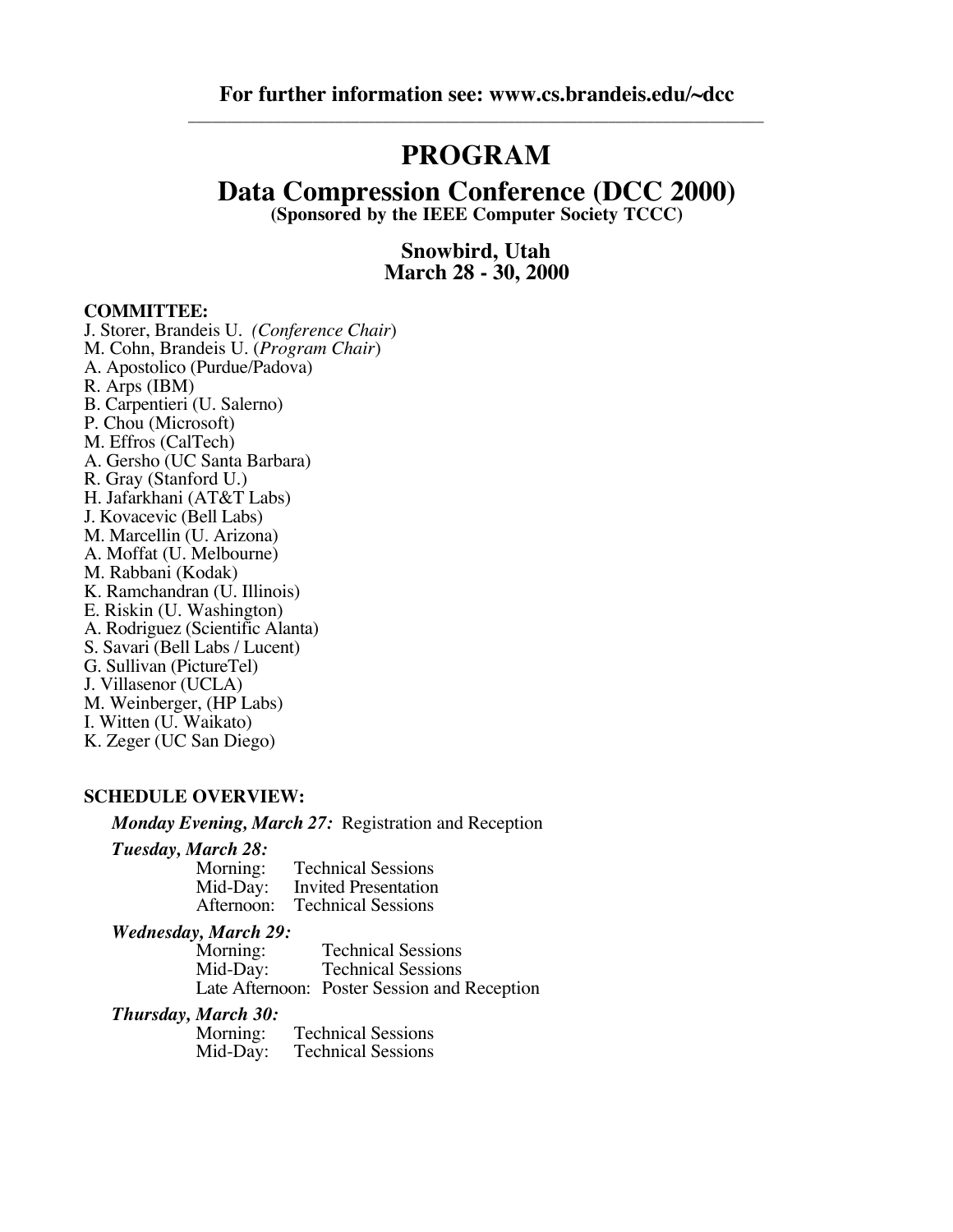## **PROGRAM**

## **Data Compression Conference (DCC 2000)**

**(Sponsored by the IEEE Computer Society TCCC)**

**Snowbird, Utah March 28 - 30, 2000**

#### **COMMITTEE:**

J. Storer, Brandeis U. *(Conference Chair*) M. Cohn, Brandeis U. (*Program Chair*) A. Apostolico (Purdue/Padova) R. Arps (IBM) B. Carpentieri (U. Salerno) P. Chou (Microsoft) M. Effros (CalTech) A. Gersho (UC Santa Barbara) R. Gray (Stanford U.) H. Jafarkhani (AT&T Labs) J. Kovacevic (Bell Labs) M. Marcellin (U. Arizona) A. Moffat (U. Melbourne) M. Rabbani (Kodak) K. Ramchandran (U. Illinois) E. Riskin (U. Washington) A. Rodriguez (Scientific Alanta) S. Savari (Bell Labs / Lucent) G. Sullivan (PictureTel) J. Villasenor (UCLA) M. Weinberger, (HP Labs) I. Witten (U. Waikato) K. Zeger (UC San Diego)

#### **SCHEDULE OVERVIEW:**

*Monday Evening, March 27:* Registration and Reception

# *Tuesday, March 28:*

Morning: Technical Sessions<br>Mid-Dav: Invited Presentation Mid-Day: Invited Presentation<br>Afternoon: Technical Sessions **Technical Sessions** 

# *Wednesday, March 29:*

**Technical Sessions** Mid-Day: Technical Sessions Late Afternoon: Poster Session and Reception

#### *Thursday, March 30:*

Morning: Technical Sessions<br>Mid-Day: Technical Sessions **Technical Sessions**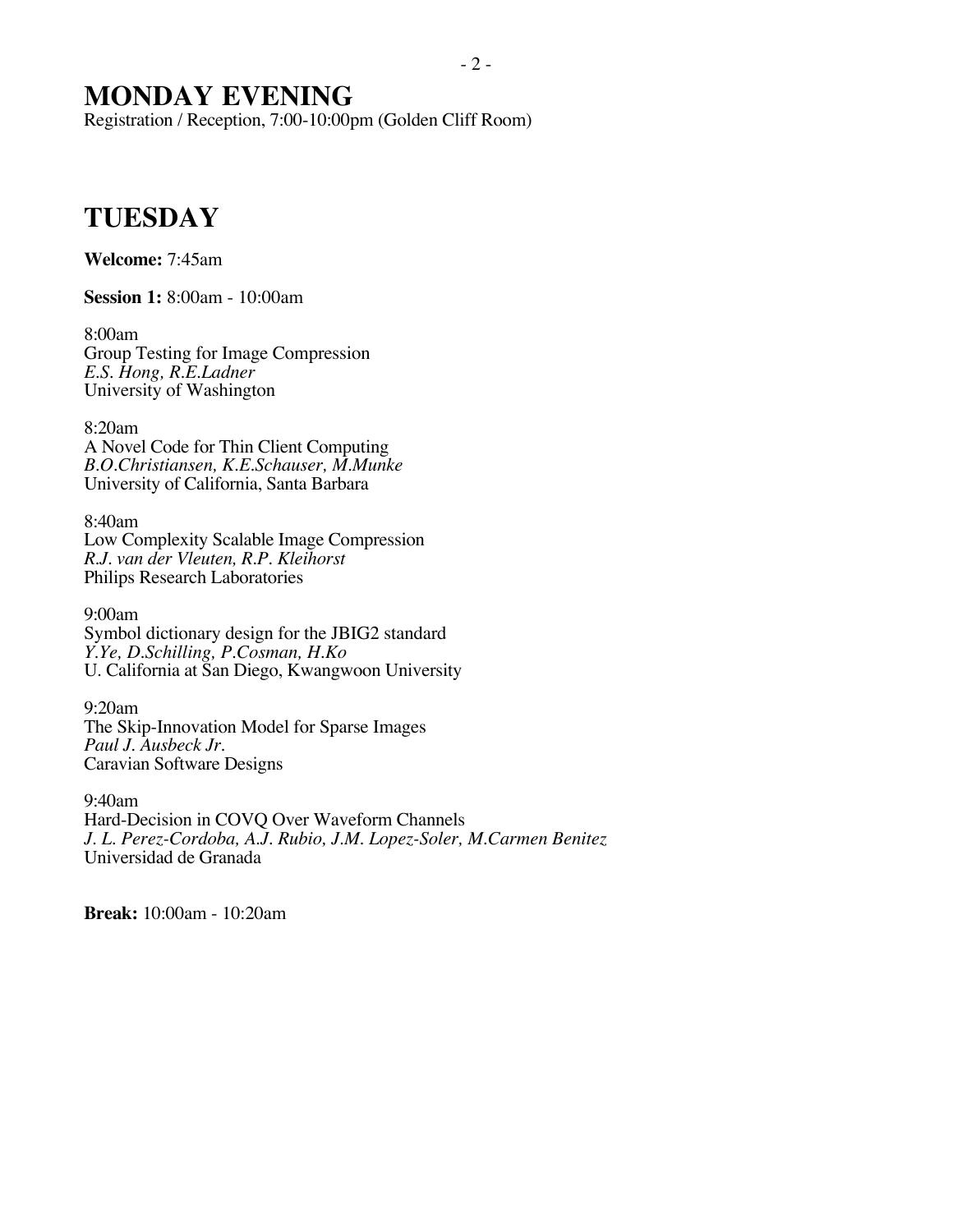## **MONDAY EVENING**

Registration / Reception, 7:00-10:00pm (Golden Cliff Room)

## **TUESDAY**

**Welcome:** 7:45am

**Session 1:** 8:00am - 10:00am

8:00am Group Testing for Image Compression *E.S. Hong, R.E.Ladner* University of Washington

8:20am A Novel Code for Thin Client Computing *B.O.Christiansen, K.E.Schauser, M.Munke* University of California, Santa Barbara

8:40am Low Complexity Scalable Image Compression *R.J. van der Vleuten, R.P. Kleihorst* Philips Research Laboratories

9:00am Symbol dictionary design for the JBIG2 standard *Y.Ye, D.Schilling, P.Cosman, H.Ko* U. California at San Diego, Kwangwoon University

9:20am The Skip-Innovation Model for Sparse Images *Paul J. Ausbeck Jr.* Caravian Software Designs

9:40am Hard-Decision in COVQ Over Waveform Channels *J. L. Perez-Cordoba, A.J. Rubio, J.M. Lopez-Soler, M.Carmen Benitez* Universidad de Granada

**Break:** 10:00am - 10:20am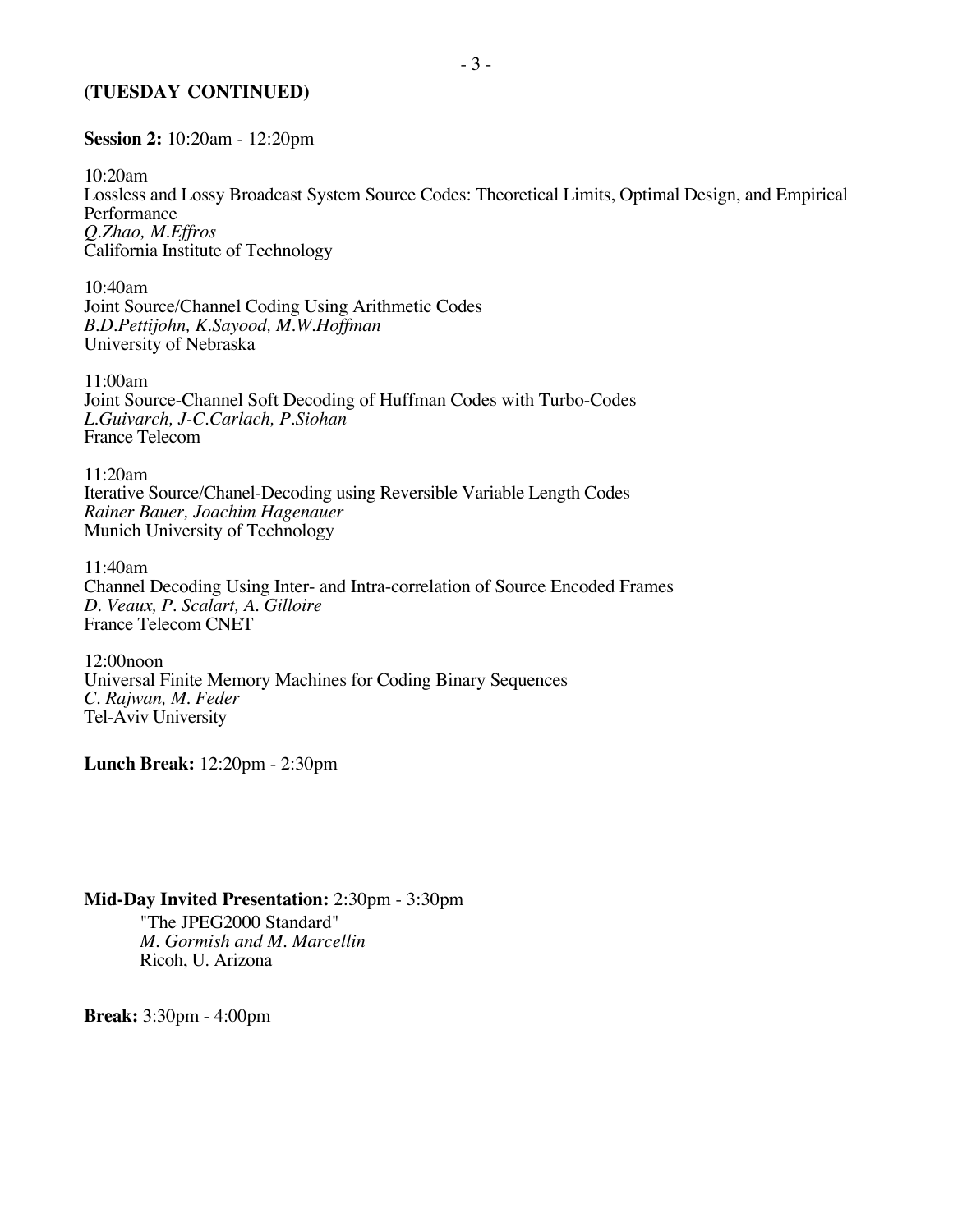#### **(TUESDAY CONTINUED)**

#### **Session 2:** 10:20am - 12:20pm

10:20am Lossless and Lossy Broadcast System Source Codes: Theoretical Limits, Optimal Design, and Empirical Performance *Q.Zhao, M.Effros* California Institute of Technology

10:40am Joint Source/Channel Coding Using Arithmetic Codes *B.D.Pettijohn, K.Sayood, M.W.Hoffman* University of Nebraska

11:00am Joint Source-Channel Soft Decoding of Huffman Codes with Turbo-Codes *L.Guivarch, J-C.Carlach, P.Siohan* France Telecom

11:20am Iterative Source/Chanel-Decoding using Reversible Variable Length Codes *Rainer Bauer, Joachim Hagenauer* Munich University of Technology

11:40am Channel Decoding Using Inter- and Intra-correlation of Source Encoded Frames *D. Veaux, P. Scalart, A. Gilloire* France Telecom CNET

12:00noon Universal Finite Memory Machines for Coding Binary Sequences *C. Rajwan, M. Feder* Tel-Aviv University

**Lunch Break:** 12:20pm - 2:30pm

#### **Mid-Day Invited Presentation:** 2:30pm - 3:30pm

"The JPEG2000 Standard" *M. Gormish and M. Marcellin* Ricoh, U. Arizona

**Break:** 3:30pm - 4:00pm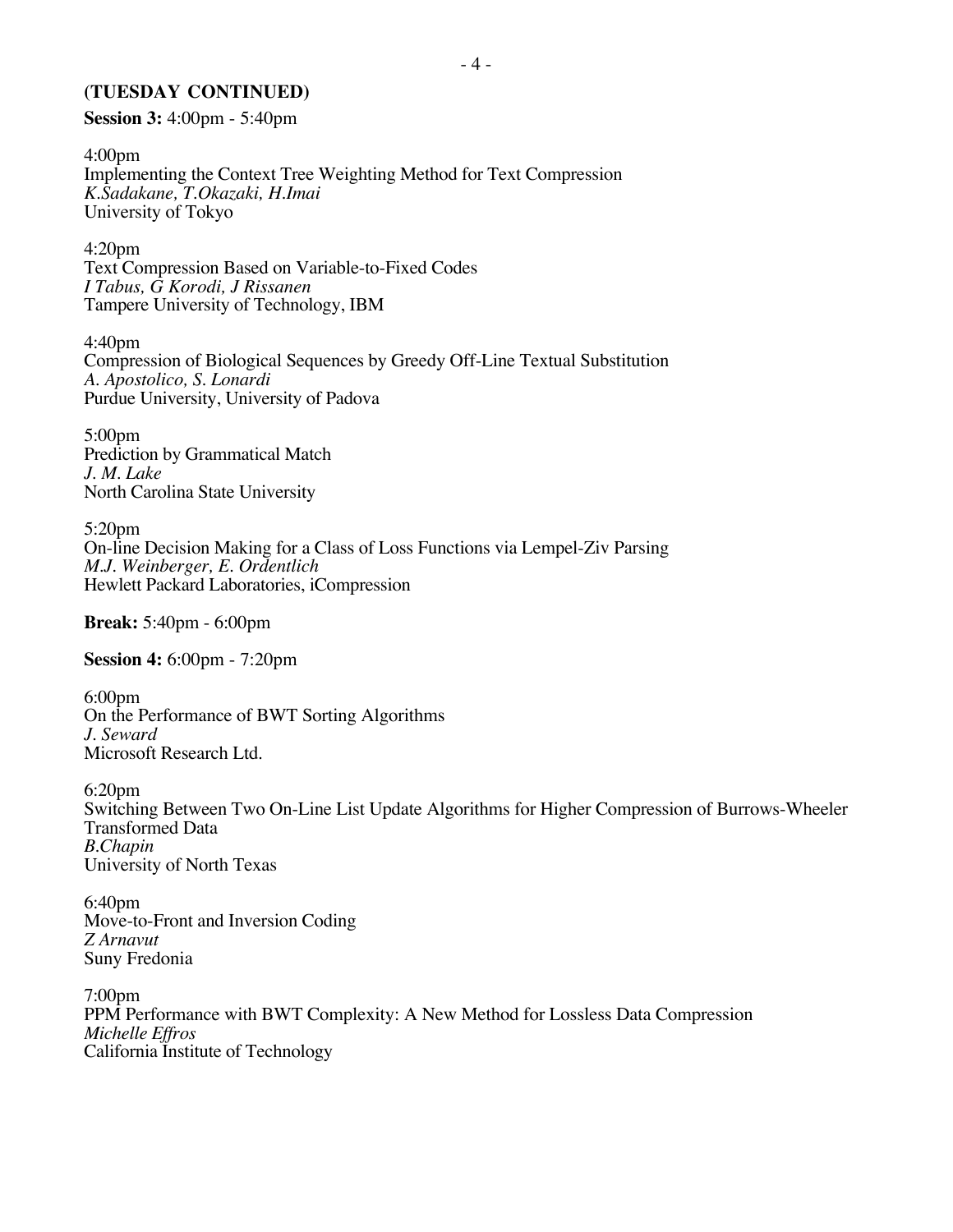#### **(TUESDAY CONTINUED)**

**Session 3:** 4:00pm - 5:40pm

4:00pm Implementing the Context Tree Weighting Method for Text Compression *K.Sadakane, T.Okazaki, H.Imai* University of Tokyo

4:20pm Text Compression Based on Variable-to-Fixed Codes *I Tabus, G Korodi, J Rissanen* Tampere University of Technology, IBM

4:40pm Compression of Biological Sequences by Greedy Off-Line Textual Substitution *A. Apostolico, S. Lonardi* Purdue University, University of Padova

5:00pm Prediction by Grammatical Match *J. M. Lake* North Carolina State University

5:20pm On-line Decision Making for a Class of Loss Functions via Lempel-Ziv Parsing *M.J. Weinberger, E. Ordentlich* Hewlett Packard Laboratories, iCompression

**Break:** 5:40pm - 6:00pm

**Session 4:** 6:00pm - 7:20pm

6:00pm On the Performance of BWT Sorting Algorithms *J. Seward* Microsoft Research Ltd.

6:20pm Switching Between Two On-Line List Update Algorithms for Higher Compression of Burrows-Wheeler Transformed Data *B.Chapin* University of North Texas

6:40pm Move-to-Front and Inversion Coding *Z Arnavut* Suny Fredonia

7:00pm PPM Performance with BWT Complexity: A New Method for Lossless Data Compression *Michelle Effros* California Institute of Technology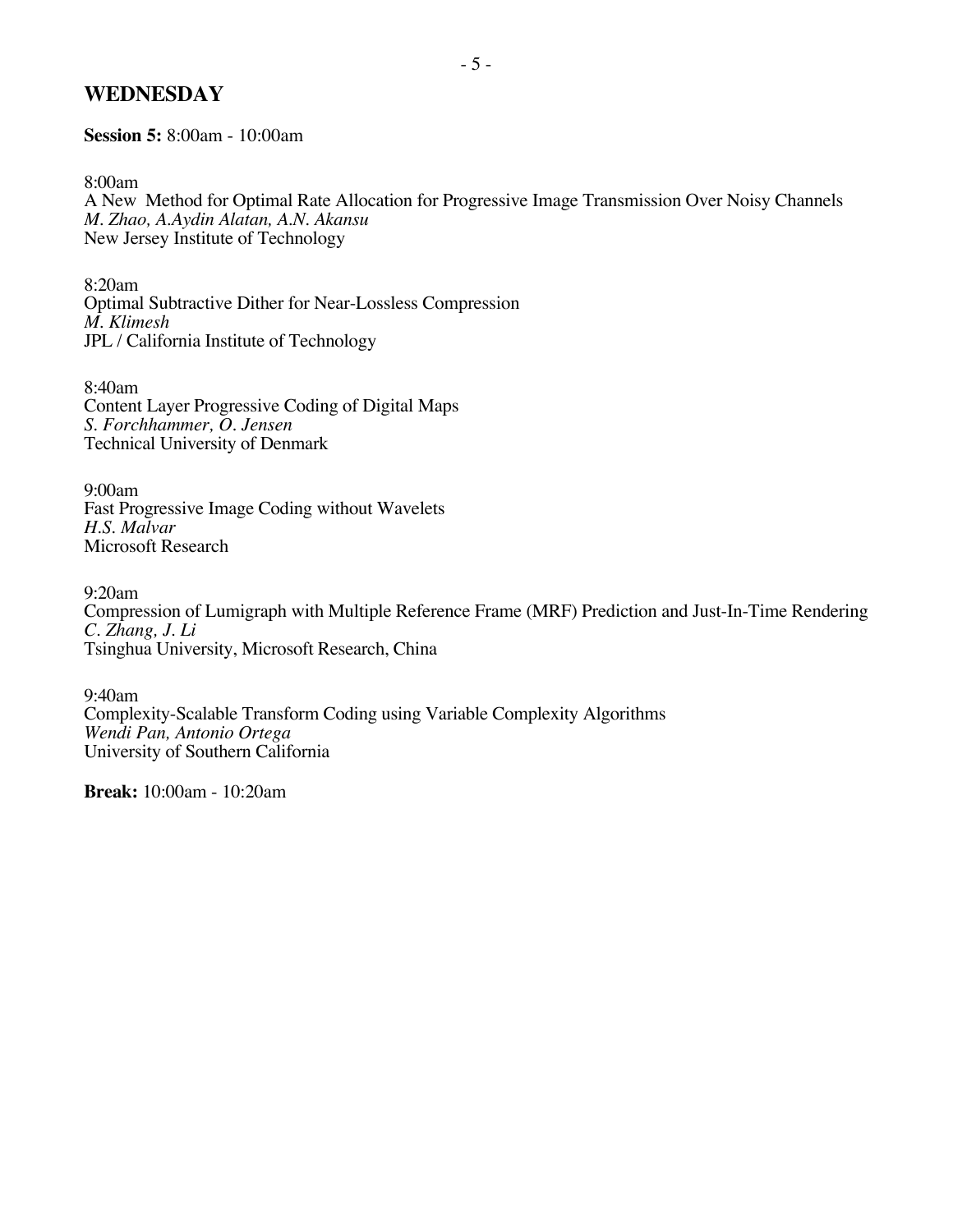### **WEDNESDAY**

**Session 5:** 8:00am - 10:00am

8:00am

A New Method for Optimal Rate Allocation for Progressive Image Transmission Over Noisy Channels *M. Zhao, A.Aydin Alatan, A.N. Akansu* New Jersey Institute of Technology

8:20am Optimal Subtractive Dither for Near-Lossless Compression *M. Klimesh* JPL / California Institute of Technology

8:40am Content Layer Progressive Coding of Digital Maps *S. Forchhammer, O. Jensen* Technical University of Denmark

9:00am Fast Progressive Image Coding without Wavelets *H.S. Malvar* Microsoft Research

9:20am Compression of Lumigraph with Multiple Reference Frame (MRF) Prediction and Just-In-Time Rendering *C. Zhang, J. Li* Tsinghua University, Microsoft Research, China

9:40am Complexity-Scalable Transform Coding using Variable Complexity Algorithms *Wendi Pan, Antonio Ortega* University of Southern California

**Break:** 10:00am - 10:20am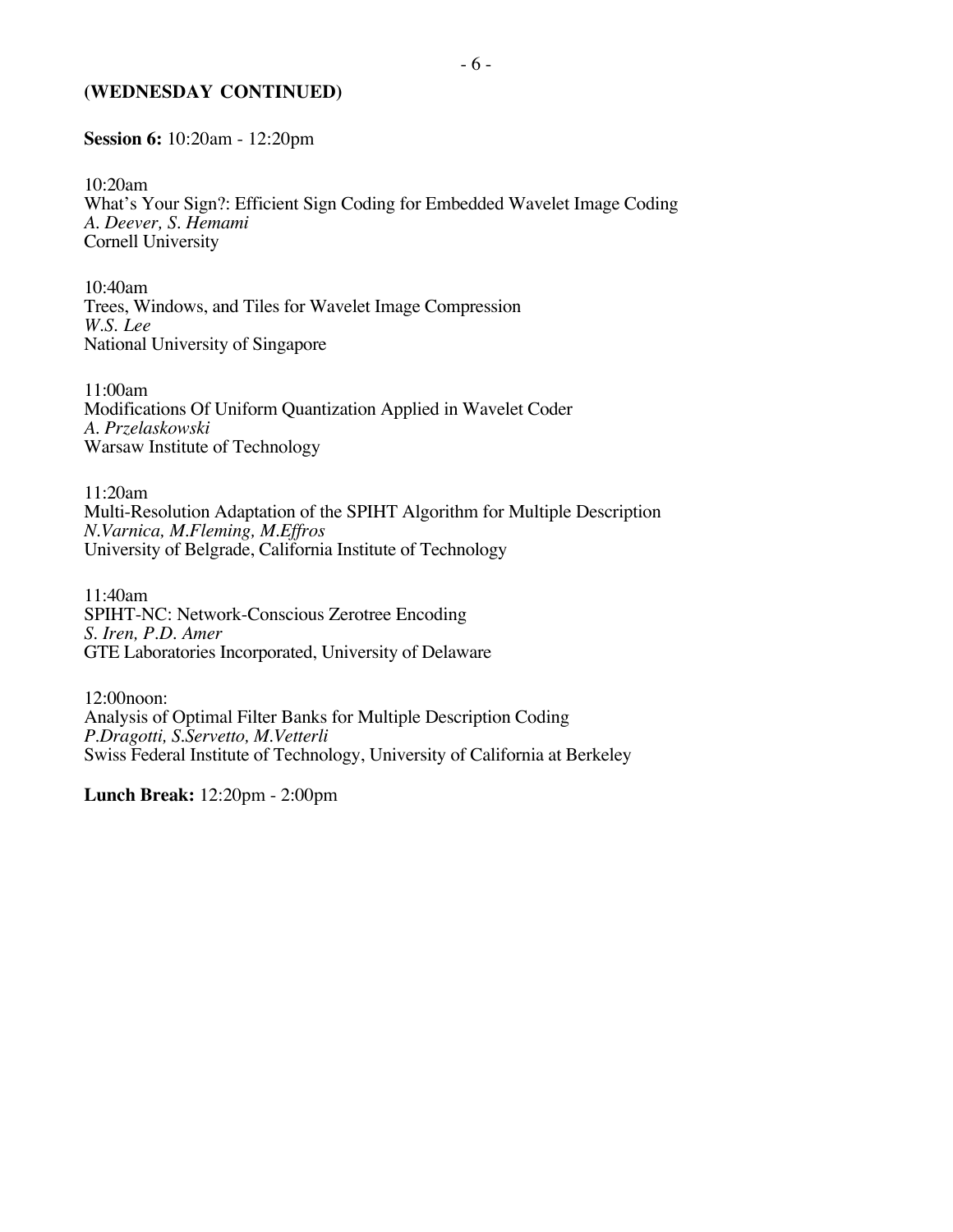#### **(WEDNESDAY CONTINUED)**

**Session 6:** 10:20am - 12:20pm

10:20am What's Your Sign?: Efficient Sign Coding for Embedded Wavelet Image Coding *A. Deever, S. Hemami* Cornell University

10:40am Trees, Windows, and Tiles for Wavelet Image Compression *W.S. Lee* National University of Singapore

11:00am Modifications Of Uniform Quantization Applied in Wavelet Coder *A. Przelaskowski* Warsaw Institute of Technology

11:20am Multi-Resolution Adaptation of the SPIHT Algorithm for Multiple Description *N.Varnica, M.Fleming, M.Effros* University of Belgrade, California Institute of Technology

11:40am SPIHT-NC: Network-Conscious Zerotree Encoding *S. Iren, P.D. Amer* GTE Laboratories Incorporated, University of Delaware

12:00noon: Analysis of Optimal Filter Banks for Multiple Description Coding *P.Dragotti, S.Servetto, M.Vetterli* Swiss Federal Institute of Technology, University of California at Berkeley

**Lunch Break:** 12:20pm - 2:00pm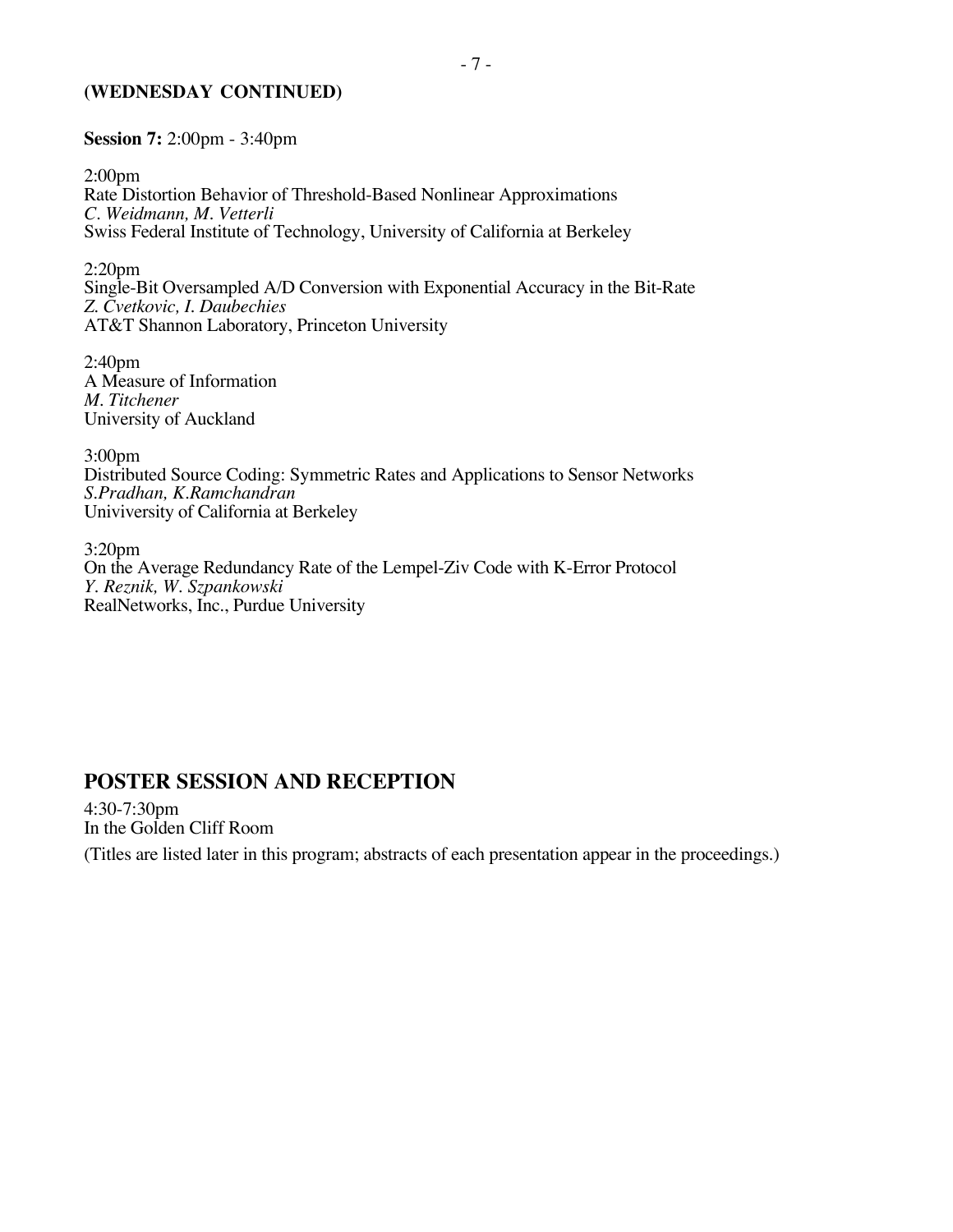#### **(WEDNESDAY CONTINUED)**

**Session 7:** 2:00pm - 3:40pm

2:00pm Rate Distortion Behavior of Threshold-Based Nonlinear Approximations *C. Weidmann, M. Vetterli* Swiss Federal Institute of Technology, University of California at Berkeley

2:20pm Single-Bit Oversampled A/D Conversion with Exponential Accuracy in the Bit-Rate *Z. Cvetkovic, I. Daubechies* AT&T Shannon Laboratory, Princeton University

2:40pm A Measure of Information *M. Titchener* University of Auckland

3:00pm Distributed Source Coding: Symmetric Rates and Applications to Sensor Networks *S.Pradhan, K.Ramchandran* Univiversity of California at Berkeley

3:20pm On the Average Redundancy Rate of the Lempel-Ziv Code with K-Error Protocol *Y. Reznik, W. Szpankowski* RealNetworks, Inc., Purdue University

### **POSTER SESSION AND RECEPTION**

4:30-7:30pm In the Golden Cliff Room

(Titles are listed later in this program; abstracts of each presentation appear in the proceedings.)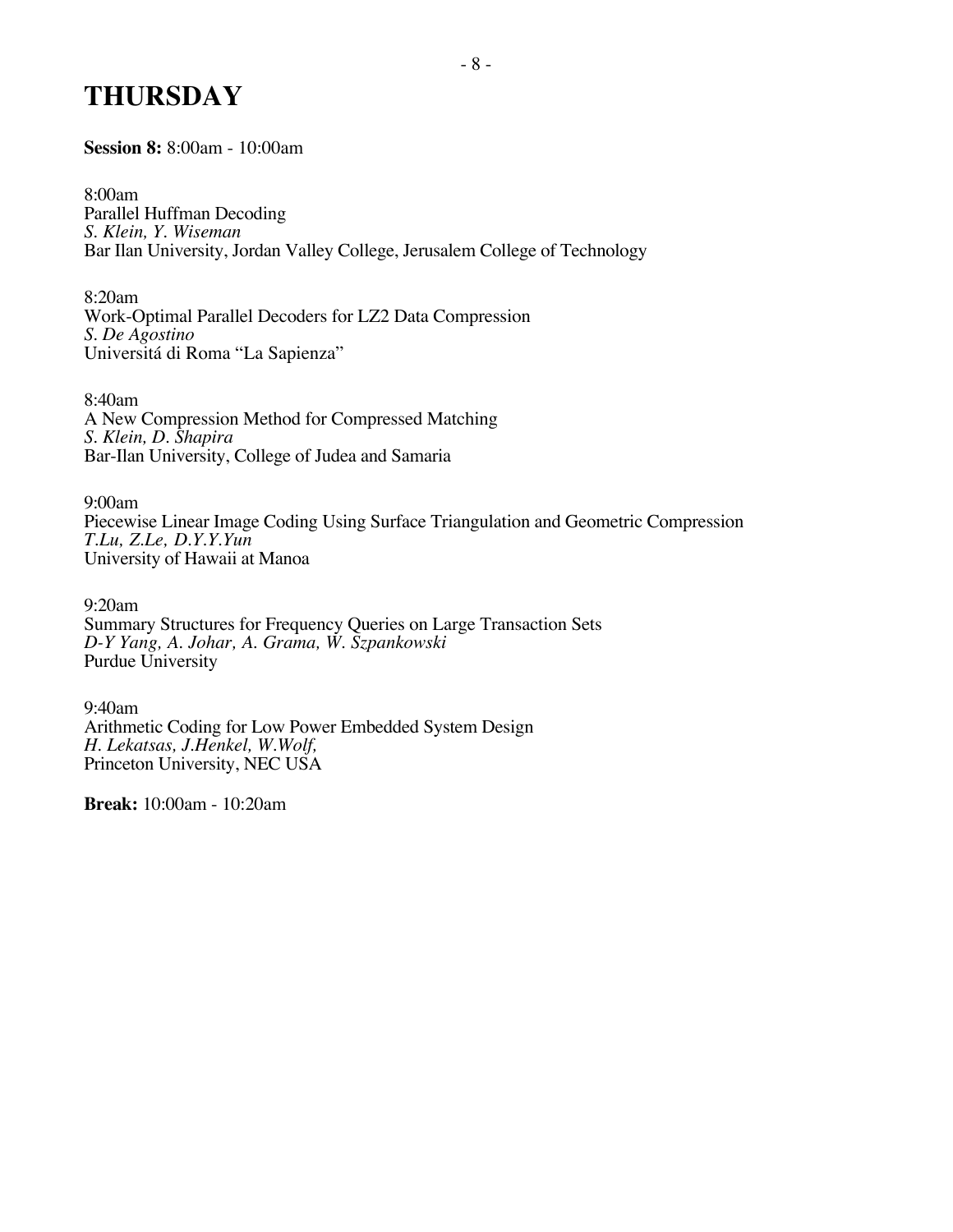## **THURSDAY**

**Session 8:** 8:00am - 10:00am

8:00am Parallel Huffman Decoding *S. Klein, Y. Wiseman* Bar Ilan University, Jordan Valley College, Jerusalem College of Technology

8:20am Work-Optimal Parallel Decoders for LZ2 Data Compression *S. De Agostino* Universitá di Roma "La Sapienza"

8:40am A New Compression Method for Compressed Matching *S. Klein, D. Shapira* Bar-Ilan University, College of Judea and Samaria

9:00am Piecewise Linear Image Coding Using Surface Triangulation and Geometric Compression *T.Lu, Z.Le, D.Y.Y.Yun* University of Hawaii at Manoa

9:20am Summary Structures for Frequency Queries on Large Transaction Sets *D-Y Yang, A. Johar, A. Grama, W. Szpankowski* Purdue University

9:40am Arithmetic Coding for Low Power Embedded System Design *H. Lekatsas, J.Henkel, W.Wolf,* Princeton University, NEC USA

**Break:** 10:00am - 10:20am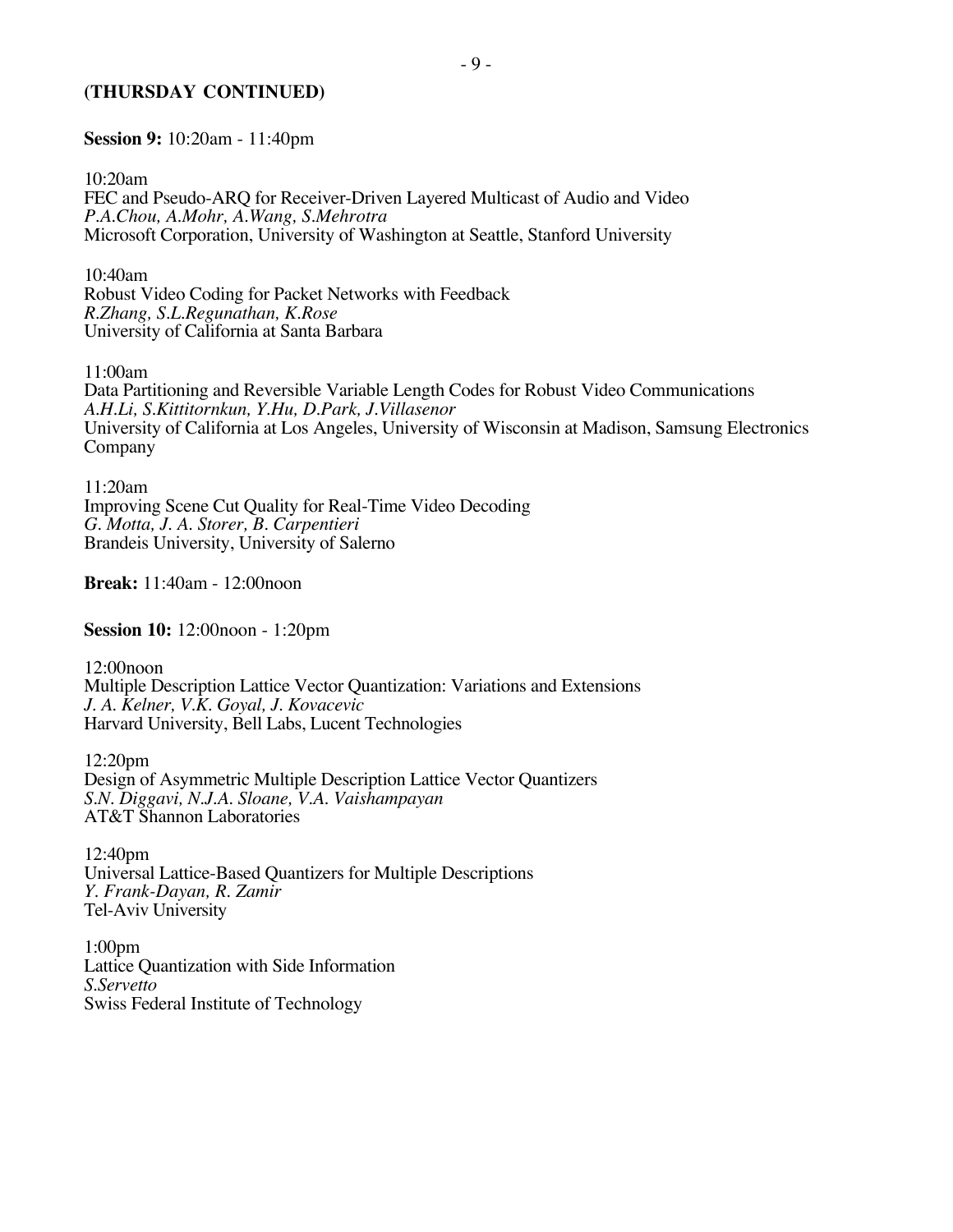#### **(THURSDAY CONTINUED)**

**Session 9:** 10:20am - 11:40pm

10:20am FEC and Pseudo-ARQ for Receiver-Driven Layered Multicast of Audio and Video *P.A.Chou, A.Mohr, A.Wang, S.Mehrotra* Microsoft Corporation, University of Washington at Seattle, Stanford University

10:40am Robust Video Coding for Packet Networks with Feedback *R.Zhang, S.L.Regunathan, K.Rose* University of California at Santa Barbara

11:00am

Data Partitioning and Reversible Variable Length Codes for Robust Video Communications *A.H.Li, S.Kittitornkun, Y.Hu, D.Park, J.Villasenor* University of California at Los Angeles, University of Wisconsin at Madison, Samsung Electronics Company

11:20am Improving Scene Cut Quality for Real-Time Video Decoding *G. Motta, J. A. Storer, B. Carpentieri* Brandeis University, University of Salerno

**Break:** 11:40am - 12:00noon

**Session 10:** 12:00noon - 1:20pm

12:00noon Multiple Description Lattice Vector Quantization: Variations and Extensions *J. A. Kelner, V.K. Goyal, J. Kovacevic* Harvard University, Bell Labs, Lucent Technologies

12:20pm Design of Asymmetric Multiple Description Lattice Vector Quantizers *S.N. Diggavi, N.J.A. Sloane, V.A. Vaishampayan* AT&T Shannon Laboratories

12:40pm Universal Lattice-Based Quantizers for Multiple Descriptions *Y. Frank-Dayan, R. Zamir* Tel-Aviv University

1:00pm Lattice Quantization with Side Information *S.Servetto* Swiss Federal Institute of Technology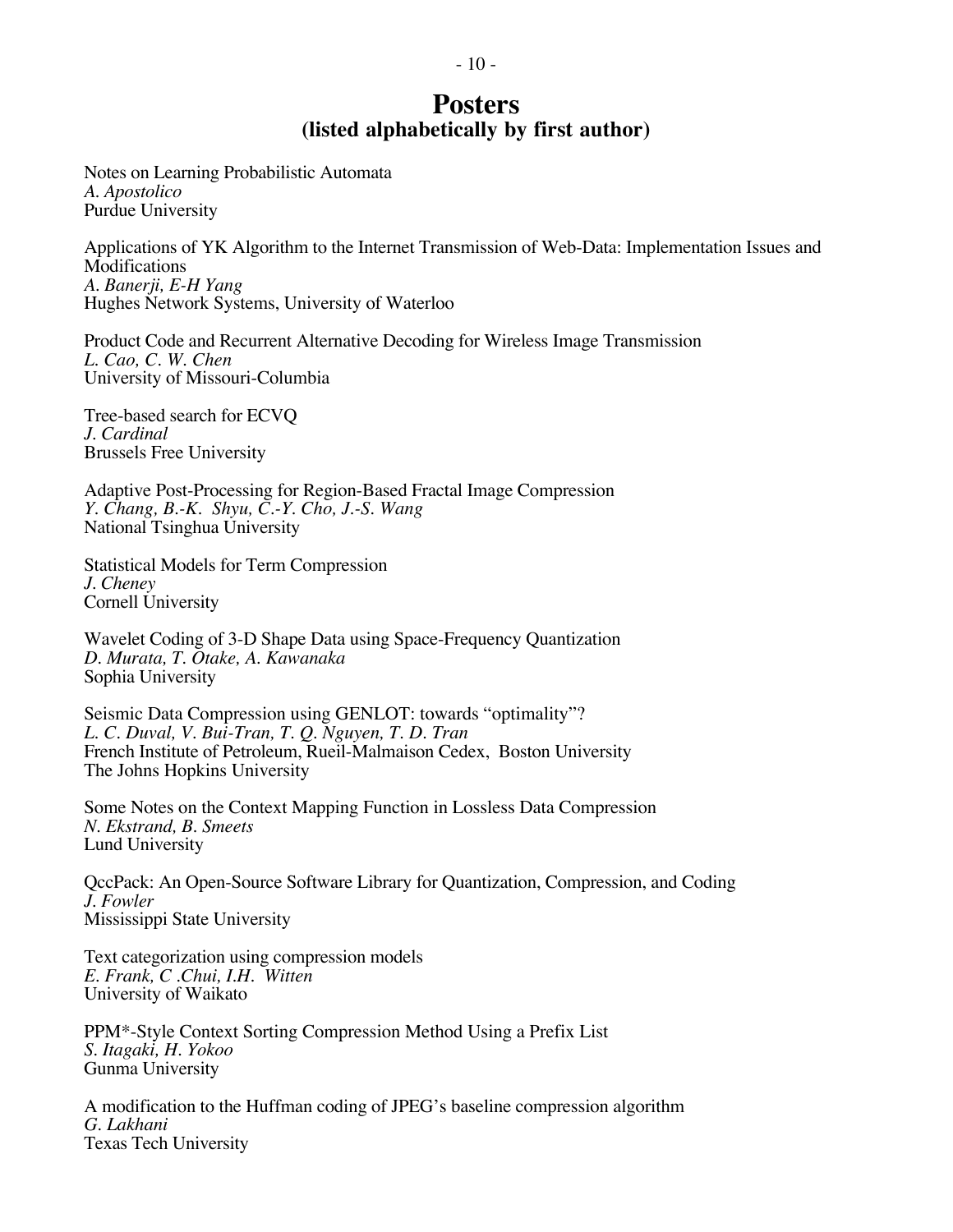## **Posters (listed alphabetically by first author)**

Notes on Learning Probabilistic Automata *A. Apostolico* Purdue University

Applications of YK Algorithm to the Internet Transmission of Web-Data: Implementation Issues and **Modifications** *A. Banerji, E-H Yang* Hughes Network Systems, University of Waterloo

Product Code and Recurrent Alternative Decoding for Wireless Image Transmission *L. Cao, C. W. Chen* University of Missouri-Columbia

Tree-based search for ECVQ *J. Cardinal* Brussels Free University

Adaptive Post-Processing for Region-Based Fractal Image Compression *Y. Chang, B.-K. Shyu, C.-Y. Cho, J.-S. Wang* National Tsinghua University

Statistical Models for Term Compression *J. Cheney* Cornell University

Wavelet Coding of 3-D Shape Data using Space-Frequency Quantization *D. Murata, T. Otake, A. Kawanaka* Sophia University

Seismic Data Compression using GENLOT: towards "optimality"? *L. C. Duval, V. Bui-Tran, T. Q. Nguyen, T. D. Tran* French Institute of Petroleum, Rueil-Malmaison Cedex, Boston University The Johns Hopkins University

Some Notes on the Context Mapping Function in Lossless Data Compression *N. Ekstrand, B. Smeets* Lund University

QccPack: An Open-Source Software Library for Quantization, Compression, and Coding *J. Fowler* Mississippi State University

Text categorization using compression models *E. Frank, C .Chui, I.H. Witten* University of Waikato

PPM\*-Style Context Sorting Compression Method Using a Prefix List *S. Itagaki, H. Yokoo* Gunma University

A modification to the Huffman coding of JPEG's baseline compression algorithm *G. Lakhani* Texas Tech University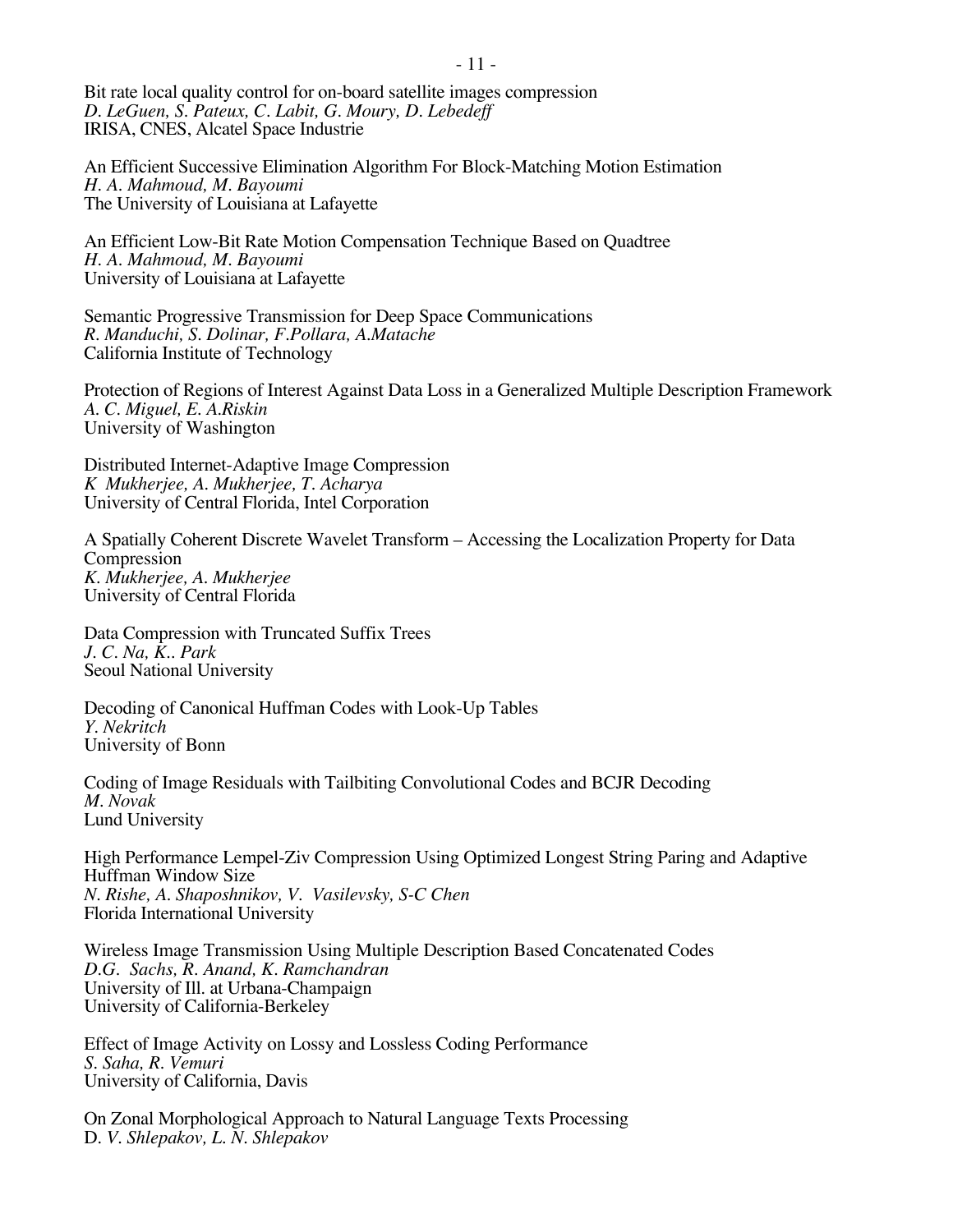Bit rate local quality control for on-board satellite images compression *D. LeGuen, S. Pateux, C. Labit, G. Moury, D. Lebedeff* IRISA, CNES, Alcatel Space Industrie

An Efficient Successive Elimination Algorithm For Block-Matching Motion Estimation *H. A. Mahmoud, M. Bayoumi* The University of Louisiana at Lafayette

An Efficient Low-Bit Rate Motion Compensation Technique Based on Quadtree *H. A. Mahmoud, M. Bayoumi* University of Louisiana at Lafayette

Semantic Progressive Transmission for Deep Space Communications *R. Manduchi, S. Dolinar, F.Pollara, A.Matache* California Institute of Technology

Protection of Regions of Interest Against Data Loss in a Generalized Multiple Description Framework *A. C. Miguel, E. A.Riskin* University of Washington

Distributed Internet-Adaptive Image Compression *K Mukherjee, A. Mukherjee, T. Acharya* University of Central Florida, Intel Corporation

A Spatially Coherent Discrete Wavelet Transform – Accessing the Localization Property for Data **Compression** *K. Mukherjee, A. Mukherjee* University of Central Florida

Data Compression with Truncated Suffix Trees *J. C. Na, K.. Park* Seoul National University

Decoding of Canonical Huffman Codes with Look-Up Tables *Y. Nekritch* University of Bonn

Coding of Image Residuals with Tailbiting Convolutional Codes and BCJR Decoding *M. Novak* Lund University

High Performance Lempel-Ziv Compression Using Optimized Longest String Paring and Adaptive Huffman Window Size *N. Rishe, A. Shaposhnikov, V. Vasilevsky, S-C Chen* Florida International University

Wireless Image Transmission Using Multiple Description Based Concatenated Codes *D.G. Sachs, R. Anand, K. Ramchandran* University of Ill. at Urbana-Champaign University of California-Berkeley

Effect of Image Activity on Lossy and Lossless Coding Performance *S. Saha, R. Vemuri* University of California, Davis

On Zonal Morphological Approach to Natural Language Texts Processing D. *V. Shlepakov, L. N. Shlepakov*